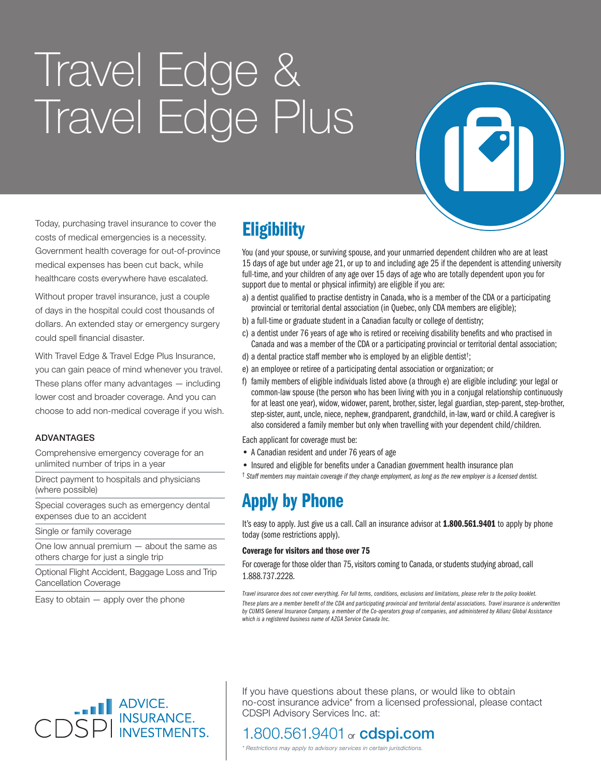# Travel Edge & Travel Edge Plus



Today, purchasing travel insurance to cover the costs of medical emergencies is a necessity. Government health coverage for out-of-province medical expenses has been cut back, while healthcare costs everywhere have escalated.

Without proper travel insurance, just a couple of days in the hospital could cost thousands of dollars. An extended stay or emergency surgery could spell financial disaster.

With Travel Edge & Travel Edge Plus Insurance, you can gain peace of mind whenever you travel. These plans offer many advantages — including lower cost and broader coverage. And you can choose to add non-medical coverage if you wish.

### ADVANTAGES

Comprehensive emergency coverage for an unlimited number of trips in a year

Direct payment to hospitals and physicians (where possible)

Special coverages such as emergency dental expenses due to an accident

Single or family coverage

One low annual premium — about the same as others charge for just a single trip

Optional Flight Accident, Baggage Loss and Trip Cancellation Coverage

Easy to obtain  $-$  apply over the phone

# **Eligibility**

You (and your spouse, or surviving spouse, and your unmarried dependent children who are at least 15 days of age but under age 21, or up to and including age 25 if the dependent is attending university full-time, and your children of any age over 15 days of age who are totally dependent upon you for support due to mental or physical infirmity) are eligible if you are:

- a) a dentist qualified to practise dentistry in Canada, who is a member of the CDA or a participating provincial or territorial dental association (in Quebec, only CDA members are eligible);
- b) a full-time or graduate student in a Canadian faculty or college of dentistry;
- c) a dentist under 76 years of age who is retired or receiving disability benefits and who practised in Canada and was a member of the CDA or a participating provincial or territorial dental association;
- d) a dental practice staff member who is employed by an eligible dentist† ;
- e) an employee or retiree of a participating dental association or organization; or
- f) family members of eligible individuals listed above (a through e) are eligible including: your legal or common-law spouse (the person who has been living with you in a conjugal relationship continuously for at least one year), widow, widower, parent, brother, sister, legal guardian, step-parent, step-brother, step-sister, aunt, uncle, niece, nephew, grandparent, grandchild, in-law, ward or child. A caregiver is also considered a family member but only when travelling with your dependent child/children.

Each applicant for coverage must be:

- A Canadian resident and under 76 years of age
- Insured and eligible for benefits under a Canadian government health insurance plan
- † *Staff members may maintain coverage if they change employment, as long as the new employer is a licensed dentist.*

# Apply by Phone

It's easy to apply. Just give us a call. Call an insurance advisor at 1.800.561.9401 to apply by phone today (some restrictions apply).

#### Coverage for visitors and those over 75

For coverage for those older than 75, visitors coming to Canada, or students studying abroad, call 1.888.737.2228.

*Travel insurance does not cover everything. For full terms, conditions, exclusions and limitations, please refer to the policy booklet. These plans are a member benefit of the CDA and participating provincial and territorial dental associations. Travel insurance is underwritten by CUMIS General Insurance Company, a member of the Co-operators group of companies, and administered by Allianz Global Assistance which is a registered business name of AZGA Service Canada Inc.*



If you have questions about these plans, or would like to obtain no-cost insurance advice\* from a licensed professional, please contact CDSPI Advisory Services Inc. at:

### 1.800.561.9401 or **cdspi.com**

*\* Restrictions may apply to advisory services in certain jurisdictions.*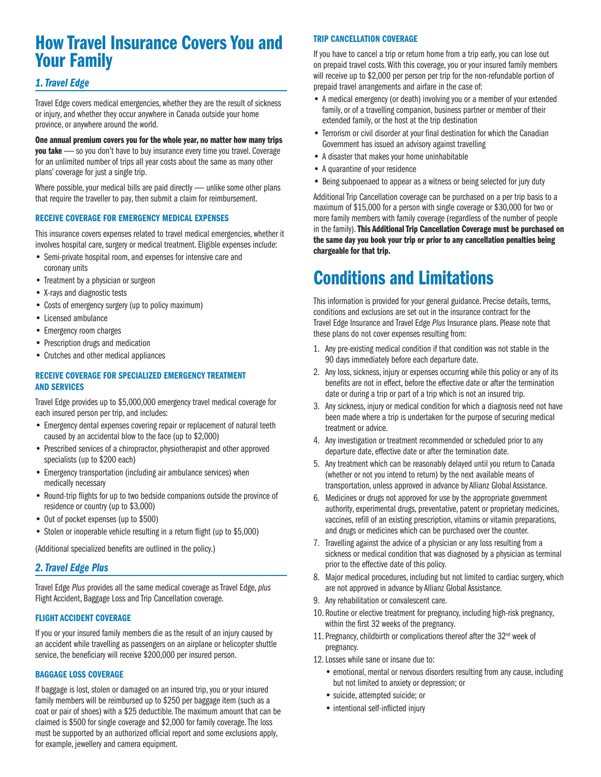# How Travel Insurance Covers You and Your Family

### *1. Travel Edge*

Travel Edge covers medical emergencies, whether they are the result of sickness or injury, and whether they occur anywhere in Canada outside your home province, or anywhere around the world.

One annual premium covers you for the whole year, no matter how many trips you take - so you don't have to buy insurance every time you travel. Coverage for an unlimited number of trips all year costs about the same as many other plans' coverage for just a single trip.

Where possible, your medical bills are paid directly - unlike some other plans that require the traveller to pay, then submit a claim for reimbursement.

#### RECEIVE COVERAGE FOR EMERGENCY MEDICAL EXPENSES

This insurance covers expenses related to travel medical emergencies, whether it involves hospital care, surgery or medical treatment. Eligible expenses include:

- Semi-private hospital room, and expenses for intensive care and coronary units
- Treatment by a physician or surgeon
- X-rays and diagnostic tests
- Costs of emergency surgery (up to policy maximum)
- Licensed ambulance
- Emergency room charges
- Prescription drugs and medication
- Crutches and other medical appliances

#### RECEIVE COVERAGE FOR SPECIALIZED EMERGENCY TREATMENT AND SERVICES

Travel Edge provides up to \$5,000,000 emergency travel medical coverage for each insured person per trip, and includes:

- Emergency dental expenses covering repair or replacement of natural teeth caused by an accidental blow to the face (up to \$2,000)
- Prescribed services of a chiropractor, physiotherapist and other approved specialists (up to \$200 each)
- Emergency transportation (including air ambulance services) when medically necessary
- Round-trip flights for up to two bedside companions outside the province of residence or country (up to \$3,000)
- Out of pocket expenses (up to \$500)
- Stolen or inoperable vehicle resulting in a return flight (up to \$5,000)

(Additional specialized benefits are outlined in the policy.)

### *2. Travel Edge Plus*

Travel Edge *Plus* provides all the same medical coverage as Travel Edge, *plus* Flight Accident, Baggage Loss and Trip Cancellation coverage.

#### FLIGHT ACCIDENT COVERAGE

If you or your insured family members die as the result of an injury caused by an accident while travelling as passengers on an airplane or helicopter shuttle service, the beneficiary will receive \$200,000 per insured person.

#### BAGGAGE LOSS COVERAGE

If baggage is lost, stolen or damaged on an insured trip, you or your insured family members will be reimbursed up to \$250 per baggage item (such as a coat or pair of shoes) with a \$25 deductible. The maximum amount that can be claimed is \$500 for single coverage and \$2,000 for family coverage. The loss must be supported by an authorized official report and some exclusions apply, for example, jewellery and camera equipment.

#### TRIP CANCELLATION COVERAGE

If you have to cancel a trip or return home from a trip early, you can lose out on prepaid travel costs. With this coverage, you or your insured family members will receive up to \$2,000 per person per trip for the non-refundable portion of prepaid travel arrangements and airfare in the case of:

- A medical emergency (or death) involving you or a member of your extended family, or of a travelling companion, business partner or member of their extended family, or the host at the trip destination
- Terrorism or civil disorder at your final destination for which the Canadian Government has issued an advisory against travelling
- A disaster that makes your home uninhabitable
- A quarantine of your residence
- Being subpoenaed to appear as a witness or being selected for jury duty

Additional Trip Cancellation coverage can be purchased on a per trip basis to a maximum of \$15,000 for a person with single coverage or \$30,000 for two or more family members with family coverage (regardless of the number of people in the family). This Additional Trip Cancellation Coverage must be purchased on the same day you book your trip or prior to any cancellation penalties being chargeable for that trip.

# Conditions and Limitations

This information is provided for your general guidance. Precise details, terms, conditions and exclusions are set out in the insurance contract for the Travel Edge Insurance and Travel Edge *Plus* Insurance plans. Please note that these plans do not cover expenses resulting from:

- 1. Any pre-existing medical condition if that condition was not stable in the 90 days immediately before each departure date.
- 2. Any loss, sickness, injury or expenses occurring while this policy or any of its benefits are not in effect, before the effective date or after the termination date or during a trip or part of a trip which is not an insured trip.
- 3. Any sickness, injury or medical condition for which a diagnosis need not have been made where a trip is undertaken for the purpose of securing medical treatment or advice.
- 4. Any investigation or treatment recommended or scheduled prior to any departure date, effective date or after the termination date.
- 5. Any treatment which can be reasonably delayed until you return to Canada (whether or not you intend to return) by the next available means of transportation, unless approved in advance by Allianz Global Assistance.
- 6. Medicines or drugs not approved for use by the appropriate government authority, experimental drugs, preventative, patent or proprietary medicines, vaccines, refill of an existing prescription, vitamins or vitamin preparations, and drugs or medicines which can be purchased over the counter.
- 7. Travelling against the advice of a physician or any loss resulting from a sickness or medical condition that was diagnosed by a physician as terminal prior to the effective date of this policy.
- 8. Major medical procedures, including but not limited to cardiac surgery, which are not approved in advance by Allianz Global Assistance.
- 9. Any rehabilitation or convalescent care.
- 10. Routine or elective treatment for pregnancy, including high-risk pregnancy, within the first 32 weeks of the pregnancy.
- 11. Pregnancy, childbirth or complications thereof after the 32<sup>nd</sup> week of pregnancy.
- 12. Losses while sane or insane due to:
	- emotional, mental or nervous disorders resulting from any cause, including but not limited to anxiety or depression; or
	- suicide, attempted suicide; or
	- intentional self-inflicted injury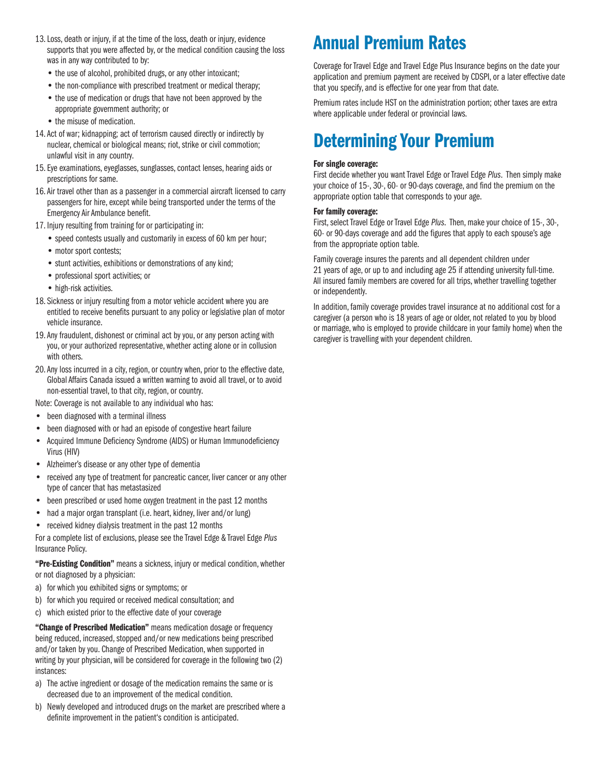- 13. Loss, death or injury, if at the time of the loss, death or injury, evidence supports that you were affected by, or the medical condition causing the loss was in any way contributed to by:
	- the use of alcohol, prohibited drugs, or any other intoxicant;
	- the non-compliance with prescribed treatment or medical therapy;
	- the use of medication or drugs that have not been approved by the appropriate government authority; or
	- the misuse of medication.
- 14. Act of war; kidnapping; act of terrorism caused directly or indirectly by nuclear, chemical or biological means; riot, strike or civil commotion; unlawful visit in any country.
- 15. Eye examinations, eyeglasses, sunglasses, contact lenses, hearing aids or prescriptions for same.
- 16. Air travel other than as a passenger in a commercial aircraft licensed to carry passengers for hire, except while being transported under the terms of the Emergency Air Ambulance benefit.
- 17. Injury resulting from training for or participating in:
	- speed contests usually and customarily in excess of 60 km per hour;
	- motor sport contests:
	- stunt activities, exhibitions or demonstrations of any kind;
	- professional sport activities; or
	- high-risk activities.
- 18. Sickness or injury resulting from a motor vehicle accident where you are entitled to receive benefits pursuant to any policy or legislative plan of motor vehicle insurance.
- 19. Any fraudulent, dishonest or criminal act by you, or any person acting with you, or your authorized representative, whether acting alone or in collusion with others.
- 20. Any loss incurred in a city, region, or country when, prior to the effective date, Global Affairs Canada issued a written warning to avoid all travel, or to avoid non-essential travel, to that city, region, or country.
- Note: Coverage is not available to any individual who has:
- been diagnosed with a terminal illness
- been diagnosed with or had an episode of congestive heart failure
- Acquired Immune Deficiency Syndrome (AIDS) or Human Immunodeficiency Virus (HIV)
- Alzheimer's disease or any other type of dementia
- received any type of treatment for pancreatic cancer, liver cancer or any other type of cancer that has metastasized
- been prescribed or used home oxygen treatment in the past 12 months
- had a major organ transplant (i.e. heart, kidney, liver and/or lung)
- received kidney dialysis treatment in the past 12 months

For a complete list of exclusions, please see the Travel Edge & Travel Edge *Plus* Insurance Policy.

"Pre-Existing Condition" means a sickness, injury or medical condition, whether or not diagnosed by a physician:

- a) for which you exhibited signs or symptoms; or
- b) for which you required or received medical consultation; and
- c) which existed prior to the effective date of your coverage

"Change of Prescribed Medication" means medication dosage or frequency being reduced, increased, stopped and/or new medications being prescribed and/or taken by you. Change of Prescribed Medication, when supported in writing by your physician, will be considered for coverage in the following two (2) instances:

- a) The active ingredient or dosage of the medication remains the same or is decreased due to an improvement of the medical condition.
- b) Newly developed and introduced drugs on the market are prescribed where a definite improvement in the patient's condition is anticipated.

# Annual Premium Rates

Coverage for Travel Edge and Travel Edge Plus Insurance begins on the date your application and premium payment are received by CDSPI, or a later effective date that you specify, and is effective for one year from that date.

Premium rates include HST on the administration portion; other taxes are extra where applicable under federal or provincial laws.

# Determining Your Premium

#### For single coverage:

First decide whether you want Travel Edge or Travel Edge *Plus*. Then simply make your choice of 15-, 30-, 60- or 90-days coverage, and find the premium on the appropriate option table that corresponds to your age.

#### For family coverage:

First, select Travel Edge or Travel Edge *Plus*. Then, make your choice of 15-, 30-, 60- or 90-days coverage and add the figures that apply to each spouse's age from the appropriate option table.

Family coverage insures the parents and all dependent children under 21 years of age, or up to and including age 25 if attending university full-time. All insured family members are covered for all trips, whether travelling together or independently.

In addition, family coverage provides travel insurance at no additional cost for a caregiver (a person who is 18 years of age or older, not related to you by blood or marriage, who is employed to provide childcare in your family home) when the caregiver is travelling with your dependent children.